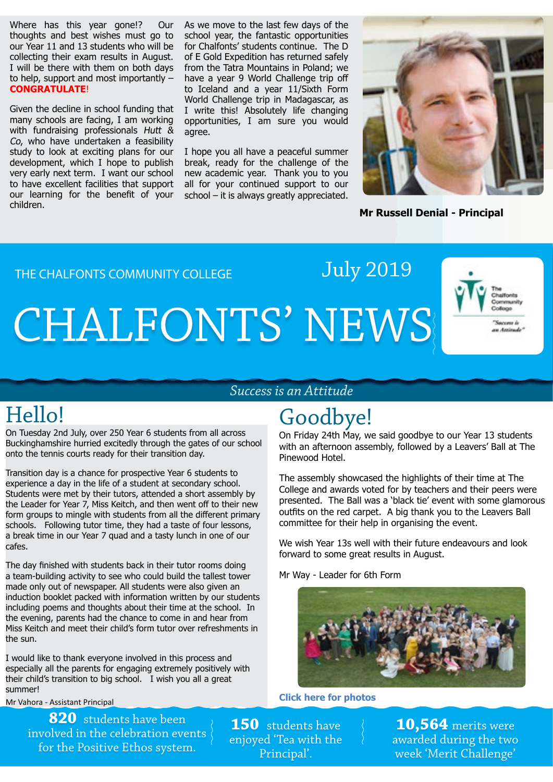Where has this year gone!? Our thoughts and best wishes must go to our Year 11 and 13 students who will be collecting their exam results in August. I will be there with them on both days to help, support and most importantly – **CONGRATULATE**!

Given the decline in school funding that many schools are facing, I am working with fundraising professionals Hutt & Co, who have undertaken a feasibility study to look at exciting plans for our development, which I hope to publish very early next term. I want our school to have excellent facilities that support our learning for the benefit of your children.

As we move to the last few days of the school year, the fantastic opportunities for Chalfonts' students continue. The D of E Gold Expedition has returned safely from the Tatra Mountains in Poland; we have a year 9 World Challenge trip off to Iceland and a year 11/Sixth Form World Challenge trip in Madagascar, as I write this! Absolutely life changing opportunities, I am sure you would agree.

I hope you all have a peaceful summer break, ready for the challenge of the new academic year. Thank you to you all for your continued support to our school – it is always greatly appreciated.



**Mr Russell Denial - Principal**

THE CHALFONTS COMMUNITY COLLEGE

# CHALFONTS' NEWS



#### *Success is an Attitude*

On Tuesday 2nd July, over 250 Year 6 students from all across Buckinghamshire hurried excitedly through the gates of our school onto the tennis courts ready for their transition day.

Transition day is a chance for prospective Year 6 students to experience a day in the life of a student at secondary school. Students were met by their tutors, attended a short assembly by the Leader for Year 7, Miss Keitch, and then went off to their new form groups to mingle with students from all the different primary schools. Following tutor time, they had a taste of four lessons, a break time in our Year 7 quad and a tasty lunch in one of our cafes.

The day finished with students back in their tutor rooms doing a team-building activity to see who could build the tallest tower made only out of newspaper. All students were also given an induction booklet packed with information written by our students including poems and thoughts about their time at the school. In the evening, parents had the chance to come in and hear from Miss Keitch and meet their child's form tutor over refreshments in the sun.

I would like to thank everyone involved in this process and especially all the parents for engaging extremely positively with their child's transition to big school. I wish you all a great summer!

Mr Vahora - Assistant Principal

**820** students have been involved in the celebration events for the Positive Ethos system.

### Hello! Goodbye!

July 2019

On Friday 24th May, we said goodbye to our Year 13 students with an afternoon assembly, followed by a Leavers' Ball at The Pinewood Hotel.

The assembly showcased the highlights of their time at The College and awards voted for by teachers and their peers were presented. The Ball was a 'black tie' event with some glamorous outfits on the red carpet. A big thank you to the Leavers Ball committee for their help in organising the event.

We wish Year 13s well with their future endeavours and look forward to some great results in August.

Mr Way - Leader for 6th Form



**[Click here for photos](https://www.chalfonts.org/attachments/download.asp?file=2959&type=pdf)**

**150** students have enjoyed 'Tea with the Principal'.

**10,564** merits were awarded during the two week 'Merit Challenge'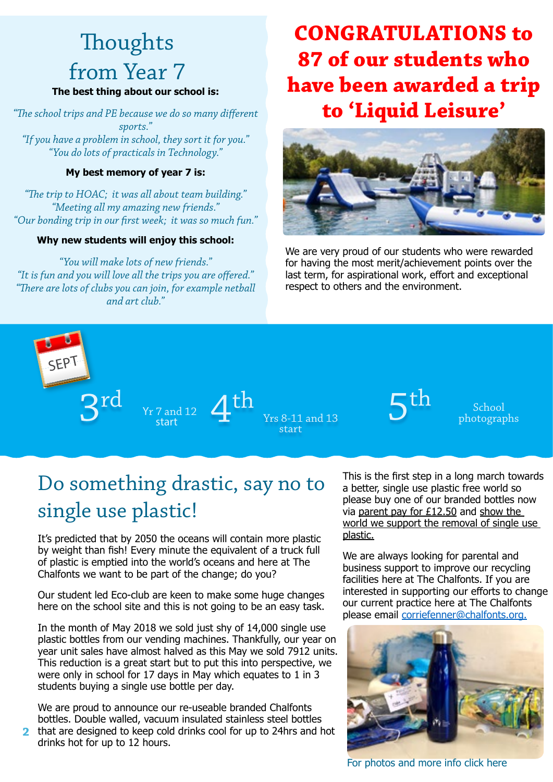## **Thoughts** from Year 7

#### **The best thing about our school is:**

*"The school trips and PE because we do so many different sports." "If you have a problem in school, they sort it for you." "You do lots of practicals in Technology."*

#### **My best memory of year 7 is:**

*"The trip to HOAC; it was all about team building." "Meeting all my amazing new friends." "Our bonding trip in our first week; it was so much fun."*

#### **Why new students will enjoy this school:**

*"You will make lots of new friends." "It is fun and you will love all the trips you are offered." "There are lots of clubs you can join, for example netball and art club."*

### **CONGRATULATIONS to 87 of our students who have been awarded a trip to 'Liquid Leisure'**



We are very proud of our students who were rewarded for having the most merit/achievement points over the last term, for aspirational work, effort and exceptional respect to others and the environment.



Yr 7 and 12  $3^{\text{rd}}$   $\frac{1}{2}$   $\text{Yr}$   $\text{Yr}$   $\text{Yr}$   $\text{Yr}$   $\text{Yr}$   $\text{Yr}$   $\text{Yr}$   $\text{Yr}$   $\text{Yr}$   $\text{Yr}$   $\text{Yr}$   $\text{Yr}$   $\text{Yr}$   $\text{Yr}$   $\text{Yr}$   $\text{Yr}$   $\text{Yr}$   $\text{Yr}$   $\text{Yr}$   $\text{Yr}$   $\text{Yr}$   $\text{Yr}$   $\text$ 

Yrs 8-11 and 13 start



School photographs

### Do something drastic, say no to single use plastic!

It's predicted that by 2050 the oceans will contain more plastic by weight than fish! Every minute the equivalent of a truck full of plastic is emptied into the world's oceans and here at The Chalfonts we want to be part of the change; do you?

Our student led Eco-club are keen to make some huge changes here on the school site and this is not going to be an easy task.

In the month of May 2018 we sold just shy of 14,000 single use plastic bottles from our vending machines. Thankfully, our year on year unit sales have almost halved as this May we sold 7912 units. This reduction is a great start but to put this into perspective, we were only in school for 17 days in May which equates to 1 in 3 students buying a single use bottle per day.

We are proud to announce our re-useable branded Chalfonts bottles. Double walled, vacuum insulated stainless steel bottles

that are designed to keep cold drinks cool for up to 24hrs and hot drinks hot for up to 12 hours. **2**

This is the first step in a long march towards a better, single use plastic free world so please buy one of our branded bottles now via parent pay for  $£12.50$  and show the world we support the removal of single use plastic.

We are always looking for parental and business support to improve our recycling facilities here at The Chalfonts. If you are interested in supporting our efforts to change our current practice here at The Chalfonts please email [corriefenner@chalfonts.org.](mailto:corriefenner@chalfonts.org)



[For photos and more info click here](https://www.chalfonts.org/attachments/download.asp?file=2967&type=pdf)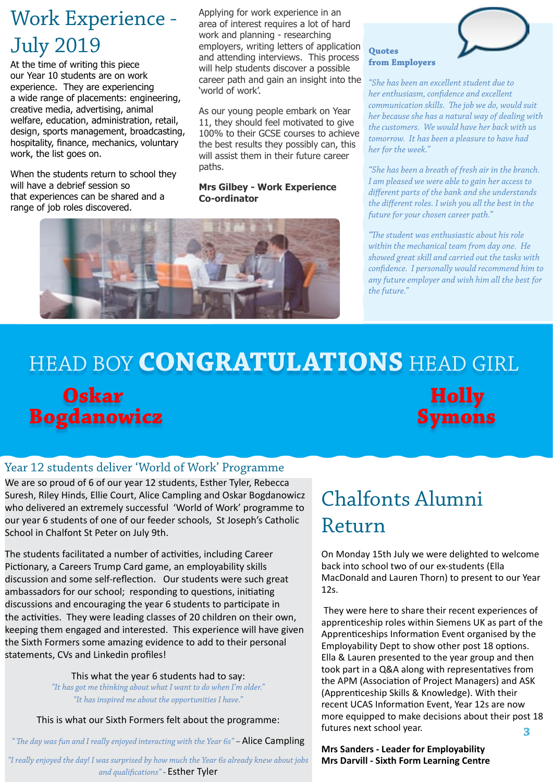### Work Experience - July 2019

At the time of writing this piece our Year 10 students are on work experience. They are experiencing a wide range of placements: engineering, creative media, advertising, animal welfare, education, administration, retail, design, sports management, broadcasting, hospitality, finance, mechanics, voluntary work, the list goes on.

When the students return to school they will have a debrief session so that experiences can be shared and a range of job roles discovered.

Applying for work experience in an area of interest requires a lot of hard work and planning - researching employers, writing letters of application and attending interviews. This process will help students discover a possible career path and gain an insight into the 'world of work'.

As our young people embark on Year 11, they should feel motivated to give 100% to their GCSE courses to achieve the best results they possibly can, this will assist them in their future career paths.

#### **Mrs Gilbey - Work Experience Co-ordinator**





**from Employers** *"She has been an excellent student due to* 

**Quotes** 

*her enthusiasm, confidence and excellent communication skills. The job we do, would suit her because she has a natural way of dealing with the customers. We would have her back with us tomorrow. It has been a pleasure to have had her for the week."*

*"She has been a breath of fresh air in the branch. I am pleased we were able to gain her access to different parts of the bank and she understands the different roles. I wish you all the best in the future for your chosen career path."* 

*"The student was enthusiastic about his role within the mechanical team from day one. He showed great skill and carried out the tasks with confidence. I personally would recommend him to any future employer and wish him all the best for the future."* 

# HEAD BOY **CONGRATULATIONS** HEAD GIRL **Oskar Holly Bogdanowicz Symons**

### Year 12 students deliver 'World of Work' Programme

We are so proud of 6 of our year 12 students, Esther Tyler, Rebecca Suresh, Riley Hinds, Ellie Court, Alice Campling and Oskar Bogdanowicz who delivered an extremely successful 'World of Work' programme to our year 6 students of one of our feeder schools, St Joseph's Catholic School in Chalfont St Peter on July 9th.

The students facilitated a number of activities, including Career Pictionary, a Careers Trump Card game, an employability skills discussion and some self-reflection. Our students were such great ambassadors for our school; responding to questions, initiating discussions and encouraging the year 6 students to participate in the activities. They were leading classes of 20 children on their own, keeping them engaged and interested. This experience will have given the Sixth Formers some amazing evidence to add to their personal statements, CVs and Linkedin profiles!

> This what the year 6 students had to say: *"It has got me thinking about what I want to do when I'm older." "It has inspired me about the opportunities I have."*

This is what our Sixth Formers felt about the programme:

*" The day was fun and I really enjoyed interacting with the Year 6s" –* Alice Campling

*"I really enjoyed the day! I was surprised by how much the Year 6s already knew about jobs and qualifications" -* Esther Tyler

### Chalfonts Alumni Return

On Monday 15th July we were delighted to welcome back into school two of our ex-students (Ella MacDonald and Lauren Thorn) to present to our Year 12s.

 They were here to share their recent experiences of apprenticeship roles within Siemens UK as part of the Apprenticeships Information Event organised by the Employability Dept to show other post 18 options. Ella & Lauren presented to the year group and then took part in a Q&A along with representatives from the APM (Association of Project Managers) and ASK (Apprenticeship Skills & Knowledge). With their recent UCAS Information Event, Year 12s are now more equipped to make decisions about their post 18 futures next school year. **3**

**Mrs Sanders - Leader for Employability Mrs Darvill - Sixth Form Learning Centre**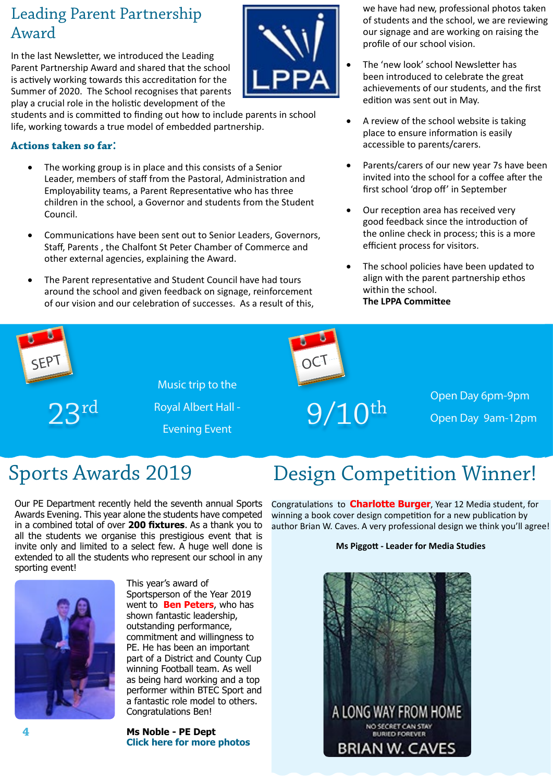### Leading Parent Partnership Award

In the last Newsletter, we introduced the Leading Parent Partnership Award and shared that the school is actively working towards this accreditation for the Summer of 2020. The School recognises that parents play a crucial role in the holistic development of the

students and is committed to finding out how to include parents in school life, working towards a true model of embedded partnership.

#### **Actions taken so far**:

- The working group is in place and this consists of a Senior Leader, members of staff from the Pastoral, Administration and Employability teams, a Parent Representative who has three children in the school, a Governor and students from the Student Council.
- Communications have been sent out to Senior Leaders, Governors, Staff, Parents , the Chalfont St Peter Chamber of Commerce and other external agencies, explaining the Award.
- The Parent representative and Student Council have had tours around the school and given feedback on signage, reinforcement of our vision and our celebration of successes. As a result of this,

we have had new, professional photos taken of students and the school, we are reviewing our signage and are working on raising the profile of our school vision.

- The 'new look' school Newsletter has been introduced to celebrate the great achievements of our students, and the first edition was sent out in May.
- A review of the school website is taking place to ensure information is easily accessible to parents/carers.
- Parents/carers of our new year 7s have been invited into the school for a coffee after the first school 'drop off' in September
- Our reception area has received very good feedback since the introduction of the online check in process; this is a more efficient process for visitors.
- The school policies have been updated to align with the parent partnership ethos within the school. **The LPPA Committee**



Our PE Department recently held the seventh annual Sports Awards Evening. This year alone the students have competed in a combined total of over **200 fixtures**. As a thank you to all the students we organise this prestigious event that is invite only and limited to a select few. A huge well done is extended to all the students who represent our school in any sporting event!



This year's award of Sportsperson of the Year 2019 went to **Ben Peters**, who has shown fantastic leadership, outstanding performance, commitment and willingness to PE. He has been an important part of a District and County Cup winning Football team. As well as being hard working and a top performer within BTEC Sport and a fantastic role model to others. Congratulations Ben!

**Ms Noble - PE Dept [Click here for more photos](https://www.chalfonts.org/attachments/download.asp?file=2968&type=pdf)**

### Sports Awards 2019 Design Competition Winner!

Congratulations to **Charlotte Burger**, Year 12 Media student, for winning a book cover design competition for a new publication by author Brian W. Caves. A very professional design we think you'll agree!

#### **Ms Piggott - Leader for Media Studies**

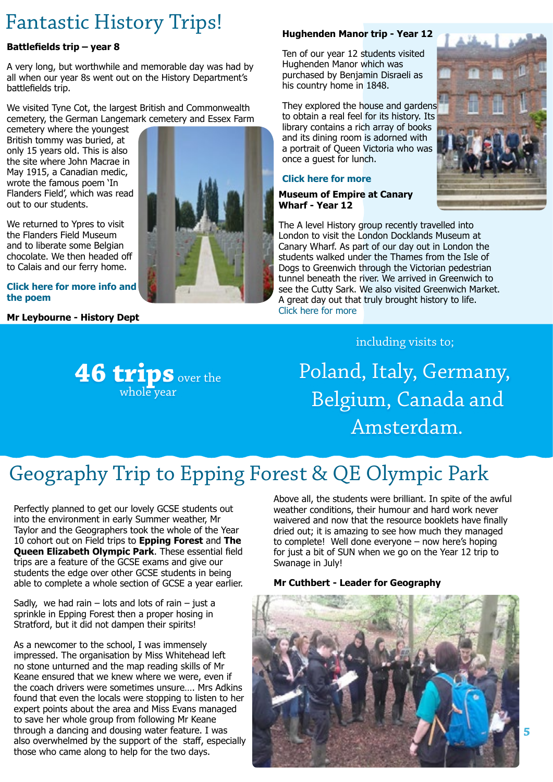### Fantastic History Trips!

#### **Battlefields trip – year 8**

A very long, but worthwhile and memorable day was had by all when our year 8s went out on the History Department's battlefields trip.

We visited Tyne Cot, the largest British and Commonwealth cemetery, the German Langemark cemetery and Essex Farm

cemetery where the youngest British tommy was buried, at only 15 years old. This is also the site where John Macrae in May 1915, a Canadian medic, wrote the famous poem 'In Flanders Field', which was read out to our students.

We returned to Ypres to visit the Flanders Field Museum and to liberate some Belgian chocolate. We then headed off to Calais and our ferry home.

#### **[Click here for more info and](https://www.chalfonts.org/attachments/download.asp?file=2961&type=pdf)  [the poem](https://www.chalfonts.org/attachments/download.asp?file=2961&type=pdf)**

**Mr Leybourne - History Dept**



#### **Hughenden Manor trip - Year 12**

Ten of our year 12 students visited Hughenden Manor which was purchased by Benjamin Disraeli as his country home in 1848.

They explored the house and gardens to obtain a real feel for its history. Its library contains a rich array of books and its dining room is adorned with a portrait of Queen Victoria who was once a guest for lunch.

#### **[Click here for more](https://www.chalfonts.org/attachments/download.asp?file=2965&type=pdf)**

#### **Museum of Empire at Canary Wharf - Year 12**

The A level History group recently travelled into London to visit the London Docklands Museum at Canary Wharf. As part of our day out in London the students walked under the Thames from the Isle of Dogs to Greenwich through the Victorian pedestrian tunnel beneath the river. We arrived in Greenwich to see the Cutty Sark. We also visited Greenwich Market. A great day out that truly brought history to life. [Click here for more](https://www.chalfonts.org/attachments/download.asp?file=2963&type=pdf)



#### including visits to;

Poland, Italy, Germany, Belgium, Canada and Amsterdam.

## Geography Trip to Epping Forest & QE Olympic Park

Perfectly planned to get our lovely GCSE students out into the environment in early Summer weather, Mr Taylor and the Geographers took the whole of the Year 10 cohort out on Field trips to **Epping Forest** and **The Queen Elizabeth Olympic Park**. These essential field trips are a feature of the GCSE exams and give our students the edge over other GCSE students in being able to complete a whole section of GCSE a year earlier.

**46 trips** over the whole year

Sadly, we had rain – lots and lots of rain – just a sprinkle in Epping Forest then a proper hosing in Stratford, but it did not dampen their spirits!

As a newcomer to the school, I was immensely impressed. The organisation by Miss Whitehead left no stone unturned and the map reading skills of Mr Keane ensured that we knew where we were, even if the coach drivers were sometimes unsure…. Mrs Adkins found that even the locals were stopping to listen to her expert points about the area and Miss Evans managed to save her whole group from following Mr Keane through a dancing and dousing water feature. I was also overwhelmed by the support of the staff, especially those who came along to help for the two days.

Above all, the students were brilliant. In spite of the awful weather conditions, their humour and hard work never waivered and now that the resource booklets have finally dried out; it is amazing to see how much they managed to complete! Well done everyone – now here's hoping for just a bit of SUN when we go on the Year 12 trip to Swanage in July!

#### **Mr Cuthbert - Leader for Geography**

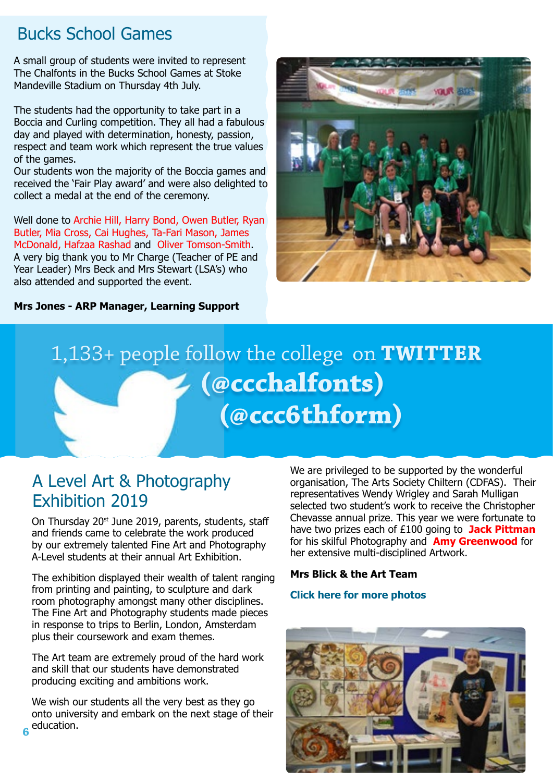### Bucks School Games

A small group of students were invited to represent The Chalfonts in the Bucks School Games at Stoke Mandeville Stadium on Thursday 4th July.

The students had the opportunity to take part in a Boccia and Curling competition. They all had a fabulous day and played with determination, honesty, passion, respect and team work which represent the true values of the games.

Our students won the majority of the Boccia games and received the 'Fair Play award' and were also delighted to collect a medal at the end of the ceremony.

Well done to Archie Hill, Harry Bond, Owen Butler, Ryan Butler, Mia Cross, Cai Hughes, Ta-Fari Mason, James McDonald, Hafzaa Rashad and Oliver Tomson-Smith. A very big thank you to Mr Charge (Teacher of PE and Year Leader) Mrs Beck and Mrs Stewart (LSA's) who also attended and supported the event.

**Mrs Jones - ARP Manager, Learning Support**



# 1,133+ people follow the college on **TWITTER ([@ccchalfonts](https://twitter.com/CCChalfonts)[\)](https://twitter.com/ccc6thform) [\(@ccc6thform](https://twitter.com/ccc6thform))**

### A Level Art & Photography Exhibition 2019

On Thursday 20<sup>st</sup> June 2019, parents, students, staff and friends came to celebrate the work produced by our extremely talented Fine Art and Photography A-Level students at their annual Art Exhibition.

The exhibition displayed their wealth of talent ranging from printing and painting, to sculpture and dark room photography amongst many other disciplines. The Fine Art and Photography students made pieces in response to trips to Berlin, London, Amsterdam plus their coursework and exam themes.

The Art team are extremely proud of the hard work and skill that our students have demonstrated producing exciting and ambitions work.

We wish our students all the very best as they go onto university and embark on the next stage of their education. **6**

We are privileged to be supported by the wonderful organisation, The Arts Society Chiltern (CDFAS). Their representatives Wendy Wrigley and Sarah Mulligan selected two student's work to receive the Christopher Chevasse annual prize. This year we were fortunate to have two prizes each of £100 going to **Jack Pittman** for his skilful Photography and **Amy Greenwood** for her extensive multi-disciplined Artwork.

#### **Mrs Blick & the Art Team**

#### **[Click here for more photos](https://www.chalfonts.org/attachments/download.asp?file=2960&type=pdf)**